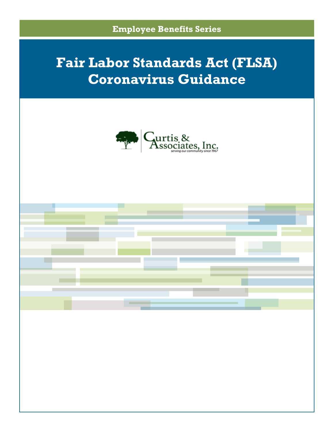



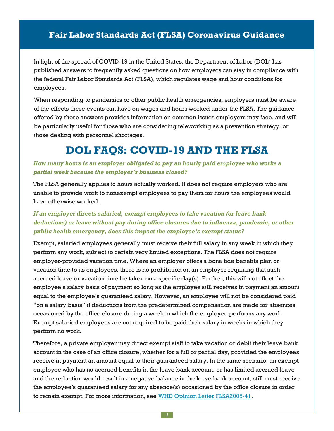In light of the spread of COVID-19 in the United States, the Department of Labor (DOL) has published answers to frequently asked questions on how employers can stay in compliance with the federal Fair Labor Standards Act (FLSA), which regulates wage and hour conditions for employees.

When responding to pandemics or other public health emergencies, employers must be aware of the effects these events can have on wages and hours worked under the FLSA. The guidance offered by these answers provides information on common issues employers may face, and will be particularly useful for those who are considering teleworking as a prevention strategy, or those dealing with personnel shortages.

## **DOL FAQS: COVID-19 AND THE FLSA**

### *How many hours is an employer obligated to pay an hourly paid employee who works a partial week because the employer's business closed?*

The FLSA generally applies to hours actually worked. It does not require employers who are unable to provide work to nonexempt employees to pay them for hours the employees would have otherwise worked.

### *If an employer directs salaried, exempt employees to take vacation (or leave bank deductions) or leave without pay during office closures due to influenza, pandemic, or other public health emergency, does this impact the employee's exempt status?*

Exempt, salaried employees generally must receive their full salary in any week in which they perform any work, subject to certain very limited exceptions. The FLSA does not require employer-provided vacation time. Where an employer offers a bona fide benefits plan or vacation time to its employees, there is no prohibition on an employer requiring that such accrued leave or vacation time be taken on a specific day(s). Further, this will not affect the employee's salary basis of payment so long as the employee still receives in payment an amount equal to the employee's guaranteed salary. However, an employee will not be considered paid "on a salary basis" if deductions from the predetermined compensation are made for absences occasioned by the office closure during a week in which the employee performs any work. Exempt salaried employees are not required to be paid their salary in weeks in which they perform no work.

Therefore, a private employer may direct exempt staff to take vacation or debit their leave bank account in the case of an office closure, whether for a full or partial day, provided the employees receive in payment an amount equal to their guaranteed salary. In the same scenario, an exempt employee who has no accrued benefits in the leave bank account, or has limited accrued leave and the reduction would result in a negative balance in the leave bank account, still must receive the employee's guaranteed salary for any absence(s) occasioned by the office closure in order to remain exempt. For more information, see WHD Opinion Letter [FLSA2005-41.](https://www.dol.gov/sites/dolgov/files/WHD/legacy/files/2005_10_24_41_FLSA.pdf)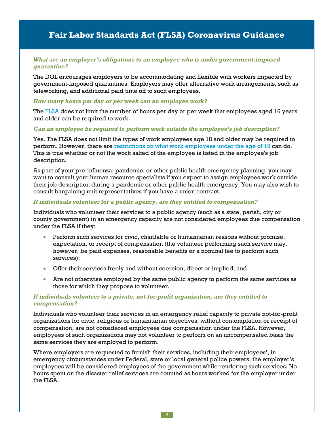#### *What are an employer's obligations to an employee who is under government-imposed quarantine?*

The DOL encourages employers to be accommodating and flexible with workers impacted by government-imposed quarantines. Employers may offer alternative work arrangements, such as teleworking, and additional paid time off to such employees.

#### *How many hours per day or per week can an employee work?*

The [FLSA](https://uscode.house.gov/view.xhtml?path=/prelim@title29/chapter8&edition=prelim) does not limit the number of hours per day or per week that employees aged 16 years and older can be required to work.

#### *Can an employee be required to perform work outside the employee's job description?*

Yes. The FLSA does not limit the types of work employees age 18 and older may be required to perform. However, there are [restrictions](https://www.youthrules.dol.gov/know-the-limits/index.htm) on what work employees under the age of 18 can do. This is true whether or not the work asked of the employee is listed in the employee's job description.

As part of your pre-influenza, pandemic, or other public health emergency planning, you may want to consult your human resource specialists if you expect to assign employees work outside their job description during a pandemic or other public health emergency. You may also wish to consult bargaining unit representatives if you have a union contract.

#### *If individuals volunteer for a public agency, are they entitled to compensation?*

Individuals who volunteer their services to a public agency (such as a state, parish, city or county government) in an emergency capacity are not considered employees due compensation under the FLSA if they:

- Perform such services for civic, charitable or humanitarian reasons without promise, expectation, or receipt of compensation (the volunteer performing such service may, however, be paid expenses, reasonable benefits or a nominal fee to perform such services);
- Offer their services freely and without coercion, direct or implied; and
- Are not otherwise employed by the same public agency to perform the same services as those for which they propose to volunteer.

#### *If individuals volunteer to a private, not-for-profit organization, are they entitled to compensation?*

Individuals who volunteer their services in an emergency relief capacity to private not-for-profit organizations for civic, religious or humanitarian objectives, without contemplation or receipt of compensation, are not considered employees due compensation under the FLSA. However, employees of such organizations may not volunteer to perform on an uncompensated basis the same services they are employed to perform.

Where employers are requested to furnish their services, including their employees', in emergency circumstances under Federal, state or local general police powers, the employer's employees will be considered employees of the government while rendering such services. No hours spent on the disaster relief services are counted as hours worked for the employer under the FLSA.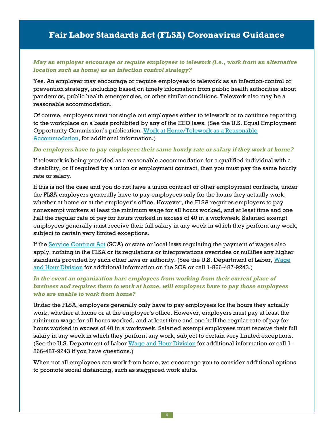### *May an employer encourage or require employees to telework (i.e., work from an alternative location such as home) as an infection control strategy?*

Yes. An employer may encourage or require employees to telework as an infection-control or prevention strategy, including based on timely information from public health authorities about pandemics, public health emergencies, or other similar conditions. Telework also may be a reasonable accommodation.

Of course, employers must not single out employees either to telework or to continue reporting to the workplace on a basis prohibited by any of the EEO laws. (See the U.S. Equal Employment Opportunity Commission's publication, Work at [Home/Telework](http://www.eeoc.gov/facts/telework.html) as a Reasonable [Accommodation,](http://www.eeoc.gov/facts/telework.html) for additional information.)

#### *Do employers have to pay employees their same hourly rate or salary if they work at home?*

If telework is being provided as a reasonable accommodation for a qualified individual with a disability, or if required by a union or employment contract, then you must pay the same hourly rate or salary.

If this is not the case and you do not have a union contract or other employment contracts, under the FLSA employers generally have to pay employees only for the hours they actually work, whether at home or at the employer's office. However, the FLSA requires employers to pay nonexempt workers at least the minimum wage for all hours worked, and at least time and one half the regular rate of pay for hours worked in excess of 40 in a workweek. Salaried exempt employees generally must receive their full salary in any week in which they perform any work, subject to certain very limited exceptions.

If the Service [Contract](https://www.dol.gov/agencies/whd/government-contracts/service-contracts) Act (SCA) or state or local laws regulating the payment of wages also apply, nothing in the FLSA or its regulations or interpretations overrides or nullifies any higher standards provided by such other laws or authority. (See the U.S. Department of Labor, [Wage](https://www.dol.gov/agencies/whd/) and Hour [Division](https://www.dol.gov/agencies/whd/) for additional information on the SCA or call 1-866-487-9243.)

### *In the event an organization bars employees from working from their current place of business and requires them to work at home, will employers have to pay those employees who are unable to work from home?*

Under the FLSA, employers generally only have to pay employees for the hours they actually work, whether at home or at the employer's office. However, employers must pay at least the minimum wage for all hours worked, and at least time and one half the regular rate of pay for hours worked in excess of 40 in a workweek. Salaried exempt employees must receive their full salary in any week in which they perform any work, subject to certain very limited exceptions. (See the U.S. Department of Labor Wage and Hour [Division](https://www.dol.gov/agencies/whd/) for additional information or call 1- 866-487-9243 if you have questions.)

When not all employees can work from home, we encourage you to consider additional options to promote social distancing, such as staggered work shifts.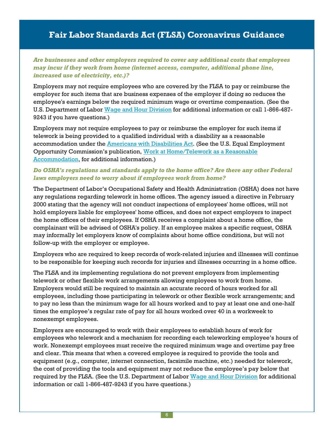### *Are businesses and other employers required to cover any additional costs that employees may incur if they work from home (internet access, computer, additional phone line, increased use of electricity, etc.)?*

Employers may not require employees who are covered by the FLSA to pay or reimburse the employer for such items that are business expenses of the employer if doing so reduces the employee's earnings below the required minimum wage or overtime compensation. (See the U.S. Department of Labor Wage and Hour [Division](https://www.dol.gov/agencies/whd/) for additional information or call 1-866-487- 9243 if you have questions.)

Employers may not require employees to pay or reimburse the employer for such items if telework is being provided to a qualified individual with a disability as a reasonable accommodation under the Americans with [Disabilities](http://www.eeoc.gov/policy/ada.html) Act. (See the U.S. Equal Employment Opportunity Commission's publication, Work at [Home/Telework](http://www.eeoc.gov/facts/telework.html) as a Reasonable [Accommodation,](http://www.eeoc.gov/facts/telework.html) for additional information.)

### *Do OSHA's regulations and standards apply to the home office? Are there any other Federal laws employers need to worry about if employees work from home?*

The Department of Labor's Occupational Safety and Health Administration (OSHA) does not have any regulations regarding telework in home offices. The agency issued a directive in February 2000 stating that the agency will not conduct inspections of employees' home offices, will not hold employers liable for employees' home offices, and does not expect employers to inspect the home offices of their employees. If OSHA receives a complaint about a home office, the complainant will be advised of OSHA's policy. If an employee makes a specific request, OSHA may informally let employers know of complaints about home office conditions, but will not follow-up with the employer or employee.

Employers who are required to keep records of work-related injuries and illnesses will continue to be responsible for keeping such records for injuries and illnesses occurring in a home office.

The FLSA and its implementing regulations do not prevent employers from implementing telework or other flexible work arrangements allowing employees to work from home. Employers would still be required to maintain an accurate record of hours worked for all employees, including those participating in telework or other flexible work arrangements; and to pay no less than the minimum wage for all hours worked and to pay at least one and one-half times the employee's regular rate of pay for all hours worked over 40 in a workweek to nonexempt employees.

Employers are encouraged to work with their employees to establish hours of work for employees who telework and a mechanism for recording each teleworking employee's hours of work. Nonexempt employees must receive the required minimum wage and overtime pay free and clear. This means that when a covered employee is required to provide the tools and equipment (e.g., computer, internet connection, facsimile machine, etc.) needed for telework, the cost of providing the tools and equipment may not reduce the employee's pay below that required by the FLSA. (See the U.S. Department of Labor Wage and Hour [Division](https://www.dol.gov/agencies/whd/) for additional information or call 1-866-487-9243 if you have questions.)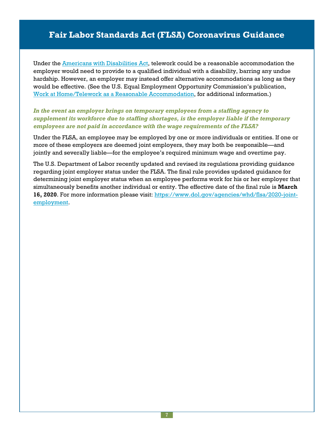Under the Americans with [Disabilities](http://www.eeoc.gov/policy/ada.html) Act, telework could be a reasonable accommodation the employer would need to provide to a qualified individual with a disability, barring any undue hardship. However, an employer may instead offer alternative accommodations as long as they would be effective. (See the U.S. Equal Employment Opportunity Commission's publication, Work at Home/Telework as a Reasonable [Accommodation,](http://www.eeoc.gov/facts/telework.html) for additional information.)

### *In the event an employer brings on temporary employees from a staffing agency to supplement its workforce due to staffing shortages, is the employer liable if the temporary employees are not paid in accordance with the wage requirements of the FLSA?*

Under the FLSA, an employee may be employed by one or more individuals or entities. If one or more of these employers are deemed joint employers, they may both be responsible—and jointly and severally liable—for the employee's required minimum wage and overtime pay.

The U.S. Department of Labor recently updated and revised its regulations providing guidance regarding joint employer status under the FLSA. The final rule provides updated guidance for determining joint employer status when an employee performs work for his or her employer that simultaneously benefits another individual or entity. The effective date of the final rule is **March 16, 2020**. For more information please visit: [https://www.dol.gov/agencies/whd/flsa/2020-joint](https://www.dol.gov/agencies/whd/flsa/2020-joint-employment)[employment](https://www.dol.gov/agencies/whd/flsa/2020-joint-employment).